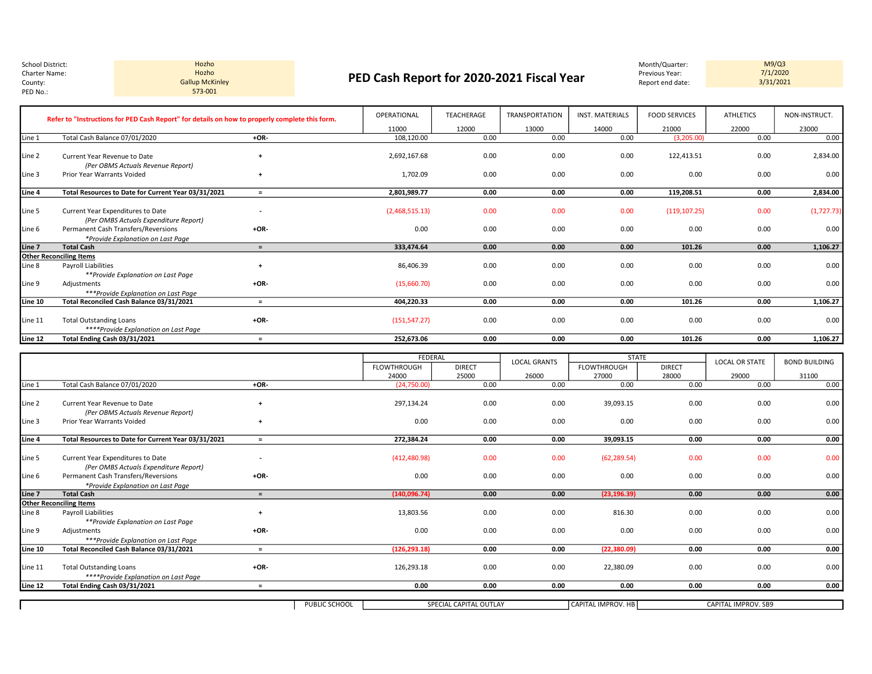Hozho 573-001

## Charter Name: Previous Year: Previous Year: Previous Year: Previous Year: Previous Year: Previous Year: Previous Year: Previous Year: Previous Year: Previous Year: Previous Year: Previous Year: Previous Year: Previous Year Charter Name: Charter Name: Entertainment Charter Name: PED Cash Report for 2020-2021 Fiscal Year Previous Year: The Marter Name: The Cash Report end date: The Cash Report for 2020-2021 Fiscal Year Previous Year: The Marte Gallup McKinley **Source Act of the Contract Contract Contract Contract Contract Contract Contract Contract Contract Contract Contract Contract Contract Contract Contract Contract Contract Contract Contract Contract Contrac**

M9/Q3<br>7/1/2020<br>3/31/2021

|         | Refer to "Instructions for PED Cash Report" for details on how to properly complete this form. |                | OPERATIONAL    | <b>TEACHERAGE</b> | <b>TRANSPORTATION</b> | <b>INST. MATERIALS</b> | <b>FOOD SERVICES</b> | <b>ATHLETICS</b> | NON-INSTRUCT. |
|---------|------------------------------------------------------------------------------------------------|----------------|----------------|-------------------|-----------------------|------------------------|----------------------|------------------|---------------|
|         |                                                                                                |                | 11000          | 12000             | 13000                 | 14000                  | 21000                | 22000            | 23000         |
| Line 1  | Total Cash Balance 07/01/2020                                                                  | $+OR-$         | 108,120.00     | 0.00              | 0.00                  | 0.00                   | (3,205.00)           | 0.00             | 0.00          |
| Line 2  | Current Year Revenue to Date<br>(Per OBMS Actuals Revenue Report)                              | $\overline{1}$ | 2,692,167.68   | 0.00              | 0.00                  | 0.00                   | 122,413.51           | 0.00             | 2,834.00      |
| Line 3  | Prior Year Warrants Voided                                                                     | $\ddot{}$      | 1,702.09       | 0.00              | 0.00                  | 0.00                   | 0.00                 | 0.00             | 0.00          |
| Line 4  | Total Resources to Date for Current Year 03/31/2021                                            | $=$            | 2,801,989.77   | 0.00              | 0.00                  | 0.00                   | 119,208.51           | 0.00             | 2,834.00      |
| Line 5  | Current Year Expenditures to Date<br>(Per OMBS Actuals Expenditure Report)                     |                | (2,468,515.13) | 0.00              | 0.00                  | 0.00                   | (119, 107.25)        | 0.00             | (1,727.73)    |
| Line 6  | Permanent Cash Transfers/Reversions<br>*Provide Explanation on Last Page                       | $+OR-$         | 0.00           | 0.00              | 0.00                  | 0.00                   | 0.00                 | 0.00             | 0.00          |
| Line 7  | <b>Total Cash</b>                                                                              | $=$            | 333.474.64     | 0.00              | 0.00                  | 0.00                   | 101.26               | 0.00             | 1,106.27      |
|         | <b>Other Reconciling Items</b>                                                                 |                |                |                   |                       |                        |                      |                  |               |
| Line 8  | Payroll Liabilities<br>**Provide Explanation on Last Page                                      | $\ddot{}$      | 86,406.39      | 0.00              | 0.00                  | 0.00                   | 0.00                 | 0.00             | 0.00          |
| Line 9  | Adjustments<br>***Provide Explanation on Last Page                                             | $+OR-$         | (15,660.70)    | 0.00              | 0.00                  | 0.00                   | 0.00                 | 0.00             | 0.00          |
| Line 10 | Total Reconciled Cash Balance 03/31/2021                                                       | $\equiv$       | 404.220.33     | 0.00              | 0.00                  | 0.00                   | 101.26               | 0.00             | 1,106.27      |
| Line 11 | <b>Total Outstanding Loans</b><br>****Provide Explanation on Last Page                         | $+OR-$         | (151, 547.27)  | 0.00              | 0.00                  | 0.00                   | 0.00                 | 0.00             | 0.00          |
| Line 12 | Total Ending Cash 03/31/2021                                                                   | $=$            | 252,673.06     | 0.00              | 0.00                  | 0.00                   | 101.26               | 0.00             | 1,106.27      |
|         |                                                                                                |                | EEDERAL        |                   |                       | <b>STATE</b>           |                      |                  |               |

|         |                                                     |                |               | <b>FEDERAL</b>         |               | <b>LOCAL GRANTS</b> | <b>STATE</b>              |               | <b>LOCAL OR STATE</b> | <b>BOND BUILDING</b> |
|---------|-----------------------------------------------------|----------------|---------------|------------------------|---------------|---------------------|---------------------------|---------------|-----------------------|----------------------|
|         |                                                     |                |               | FLOWTHROUGH            | <b>DIRECT</b> |                     | <b>FLOWTHROUGH</b>        | <b>DIRECT</b> |                       |                      |
|         |                                                     |                |               | 24000                  | 25000         | 26000               | 27000                     | 28000         | 29000                 | 31100                |
| Line 1  | Total Cash Balance 07/01/2020                       | $+OR-$         |               | (24,750.00)            | 0.00          | 0.00                | 0.00                      | 0.00          | 0.00                  | 0.00                 |
|         |                                                     |                |               |                        |               |                     |                           |               |                       |                      |
| Line 2  | Current Year Revenue to Date                        | $\overline{1}$ |               | 297,134.24             | 0.00          | 0.00                | 39,093.15                 | 0.00          | 0.00                  | 0.00                 |
|         | (Per OBMS Actuals Revenue Report)                   |                |               |                        |               |                     |                           |               |                       |                      |
| Line 3  | Prior Year Warrants Voided                          | $\ddot{}$      |               | 0.00                   | 0.00          | 0.00                | 0.00                      | 0.00          | 0.00                  | 0.00                 |
|         |                                                     |                |               |                        |               |                     |                           |               |                       |                      |
| Line 4  | Total Resources to Date for Current Year 03/31/2021 | $\equiv$       |               | 272.384.24             | 0.00          | 0.00                | 39,093.15                 | 0.00          | 0.00                  | 0.00                 |
|         |                                                     |                |               |                        |               |                     |                           |               |                       |                      |
| Line 5  | Current Year Expenditures to Date                   |                |               | (412, 480.98)          | 0.00          | 0.00                | (62, 289.54)              | 0.00          | 0.00                  | 0.00                 |
|         | (Per OMBS Actuals Expenditure Report)               |                |               |                        |               |                     |                           |               |                       |                      |
| Line 6  | Permanent Cash Transfers/Reversions                 | $+OR-$         |               | 0.00                   | 0.00          | 0.00                | 0.00                      | 0.00          | 0.00                  | 0.00                 |
|         | *Provide Explanation on Last Page                   |                |               |                        |               |                     |                           |               |                       |                      |
| Line 7  | <b>Total Cash</b>                                   | $=$            |               | (140,096.74)           | 0.00          | 0.00                | (23, 196.39)              | 0.00          | 0.00                  | 0.00                 |
|         | <b>Other Reconciling Items</b>                      |                |               |                        |               |                     |                           |               |                       |                      |
| Line 8  | <b>Payroll Liabilities</b>                          | $\overline{ }$ |               | 13,803.56              | 0.00          | 0.00                | 816.30                    | 0.00          | 0.00                  | 0.00                 |
|         | **Provide Explanation on Last Page                  |                |               |                        |               |                     |                           |               |                       |                      |
| Line 9  | Adjustments                                         | $+OR-$         |               | 0.00                   | 0.00          | 0.00                | 0.00                      | 0.00          | 0.00                  | 0.00                 |
|         | ***Provide Explanation on Last Page                 |                |               |                        |               |                     |                           |               |                       |                      |
| Line 10 | Total Reconciled Cash Balance 03/31/2021            | $=$            |               | (126, 293.18)          | 0.00          | 0.00                | (22, 380.09)              | 0.00          | 0.00                  | 0.00                 |
|         |                                                     |                |               |                        |               |                     |                           |               |                       |                      |
| Line 11 | <b>Total Outstanding Loans</b>                      | $+OR-$         |               | 126,293.18             | 0.00          | 0.00                | 22,380.09                 | 0.00          | 0.00                  | 0.00                 |
|         | ****Provide Explanation on Last Page                |                |               |                        |               |                     |                           |               |                       |                      |
| Line 12 | Total Ending Cash 03/31/2021                        | $=$            |               | 0.00                   | 0.00          | 0.00                | 0.00                      | 0.00          | 0.00                  | 0.00                 |
|         |                                                     |                |               |                        |               |                     |                           |               |                       |                      |
|         |                                                     |                | PUBLIC SCHOOL | SPECIAL CAPITAL OUTLAY |               |                     | <b>CAPITAL IMPROV. HB</b> |               | CAPITAL IMPROV. SB9   |                      |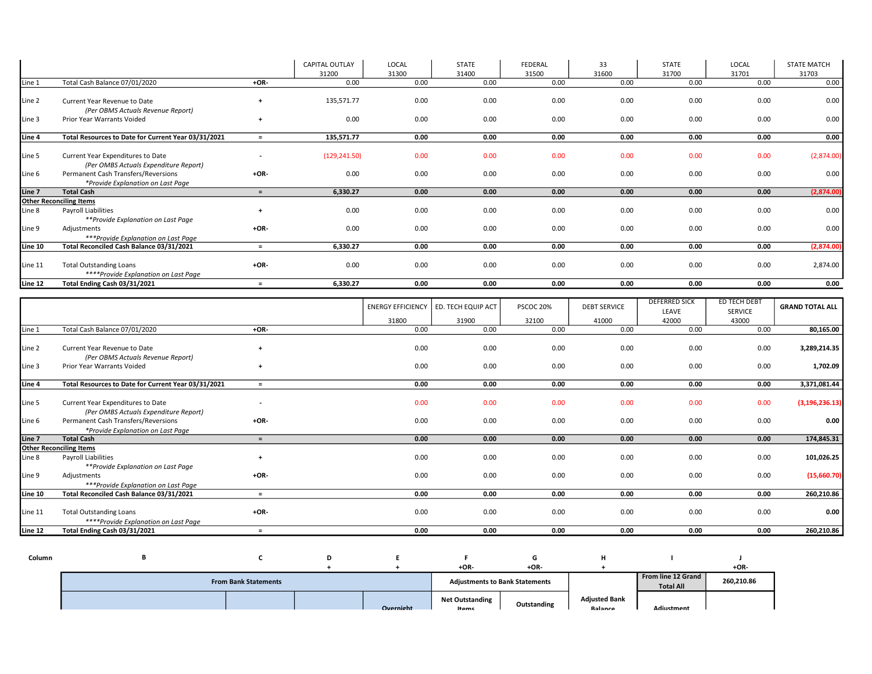|         |                                                                   |             | CAPITAL OUTLAY | LOCAL | <b>STATE</b> | <b>FEDERAL</b> | 33    | <b>STATE</b> | LOCAL | <b>STATE MATCH</b> |
|---------|-------------------------------------------------------------------|-------------|----------------|-------|--------------|----------------|-------|--------------|-------|--------------------|
|         |                                                                   |             | 31200          | 31300 | 31400        | 31500          | 31600 | 31700        | 31701 | 31703              |
| Line 1  | Total Cash Balance 07/01/2020                                     | $+OR-$      | 0.00           | 0.00  | 0.00         | 0.00           | 0.00  | 0.00         | 0.00  | 0.00               |
| Line 2  | Current Year Revenue to Date<br>(Per OBMS Actuals Revenue Report) | $\ddot{}$   | 135,571.77     | 0.00  | 0.00         | 0.00           | 0.00  | 0.00         | 0.00  | 0.00               |
| Line 3  | Prior Year Warrants Voided                                        | $\ddot{}$   | 0.00           | 0.00  | 0.00         | 0.00           | 0.00  | 0.00         | 0.00  | 0.00               |
| Line 4  | Total Resources to Date for Current Year 03/31/2021               | $=$         | 135,571.77     | 0.00  | 0.00         | 0.00           | 0.00  | 0.00         | 0.00  | 0.00               |
|         |                                                                   |             |                |       |              |                |       |              |       |                    |
| Line 5  | Current Year Expenditures to Date                                 |             | (129, 241.50)  | 0.00  | 0.00         | 0.00           | 0.00  | 0.00         | 0.00  | (2,874.00)         |
|         | (Per OMBS Actuals Expenditure Report)                             |             |                |       |              |                |       |              |       |                    |
| Line 6  | Permanent Cash Transfers/Reversions                               | $+OR-$      | 0.00           | 0.00  | 0.00         | 0.00           | 0.00  | 0.00         | 0.00  | 0.00               |
|         | *Provide Explanation on Last Page                                 |             |                |       |              |                |       |              |       |                    |
| Line 7  | <b>Total Cash</b>                                                 | $=$         | 6,330.27       | 0.00  | 0.00         | 0.00           | 0.00  | 0.00         | 0.00  | (2,874.00)         |
|         | <b>Other Reconciling Items</b>                                    |             |                |       |              |                |       |              |       |                    |
| Line 8  | Payroll Liabilities                                               | $\ddotmark$ | 0.00           | 0.00  | 0.00         | 0.00           | 0.00  | 0.00         | 0.00  | 0.00               |
|         | **Provide Explanation on Last Page                                |             |                |       |              |                |       |              |       |                    |
| Line 9  | Adjustments                                                       | $+OR-$      | 0.00           | 0.00  | 0.00         | 0.00           | 0.00  | 0.00         | 0.00  | 0.00               |
|         | ***Provide Explanation on Last Page                               |             |                |       |              |                |       |              |       |                    |
| Line 10 | Total Reconciled Cash Balance 03/31/2021                          | $=$         | 6,330.27       | 0.00  | 0.00         | 0.00           | 0.00  | 0.00         | 0.00  | (2,874.00)         |
|         |                                                                   |             |                |       |              |                |       |              |       |                    |
| Line 11 | <b>Total Outstanding Loans</b>                                    | $+OR-$      | 0.00           | 0.00  | 0.00         | 0.00           | 0.00  | 0.00         | 0.00  | 2,874.00           |
|         | ****Provide Explanation on Last Page                              |             |                |       |              |                |       |              |       |                    |
| Line 12 | Total Ending Cash 03/31/2021                                      | $=$         | 6,330.27       | 0.00  | 0.00         | 0.00           | 0.00  | 0.00         | 0.00  | 0.00               |

|         |                                                                            |                          | <b>ENERGY EFFICIENCY</b> | ED. TECH EQUIP ACT | PSCOC 20% | <b>DEBT SERVICE</b> | DEFERRED SICK<br>LEAVE | ED TECH DEBT<br><b>SERVICE</b> | <b>GRAND TOTAL ALL</b> |
|---------|----------------------------------------------------------------------------|--------------------------|--------------------------|--------------------|-----------|---------------------|------------------------|--------------------------------|------------------------|
|         |                                                                            |                          | 31800                    | 31900              | 32100     | 41000               | 42000                  | 43000                          |                        |
| Line 1  | Total Cash Balance 07/01/2020                                              | +OR-                     | 0.00                     | 0.00               | 0.00      | 0.00                | 0.00                   | 0.00                           | 80,165.00              |
| Line 2  | Current Year Revenue to Date<br>(Per OBMS Actuals Revenue Report)          |                          | 0.00                     | 0.00               | 0.00      | 0.00                | 0.00                   | 0.00                           | 3,289,214.35           |
| Line 3  | Prior Year Warrants Voided                                                 |                          | 0.00                     | 0.00               | 0.00      | 0.00                | 0.00                   | 0.00                           | 1,702.09               |
|         |                                                                            |                          |                          |                    |           |                     |                        |                                |                        |
| Line 4  | Total Resources to Date for Current Year 03/31/2021                        | $\equiv$                 | 0.00                     | 0.00               | 0.00      | 0.00                | 0.00                   | 0.00                           | 3,371,081.44           |
| Line 5  | Current Year Expenditures to Date<br>(Per OMBS Actuals Expenditure Report) | $\overline{\phantom{a}}$ | 0.00                     | 0.00               | 0.00      | 0.00                | 0.00                   | 0.00                           | (3, 196, 236.13)       |
| Line 6  | Permanent Cash Transfers/Reversions                                        | $+OR-$                   | 0.00                     | 0.00               | 0.00      | 0.00                | 0.00                   | 0.00                           | 0.00                   |
|         | *Provide Explanation on Last Page                                          |                          |                          |                    |           |                     |                        |                                |                        |
| Line 7  | <b>Total Cash</b>                                                          | $=$                      | 0.00                     | 0.00               | 0.00      | 0.00                | 0.00                   | 0.00                           | 174,845.31             |
|         | <b>Other Reconciling Items</b>                                             |                          |                          |                    |           |                     |                        |                                |                        |
| Line 8  | Payroll Liabilities                                                        |                          | 0.00                     | 0.00               | 0.00      | 0.00                | 0.00                   | 0.00                           | 101,026.25             |
|         | **Provide Explanation on Last Page                                         |                          |                          |                    |           |                     |                        |                                |                        |
| Line 9  | Adjustments                                                                | $+OR-$                   | 0.00                     | 0.00               | 0.00      | 0.00                | 0.00                   | 0.00                           | (15,660.70)            |
|         | ***Provide Explanation on Last Page                                        |                          |                          |                    |           |                     |                        |                                |                        |
| Line 10 | Total Reconciled Cash Balance 03/31/2021                                   | $\equiv$                 | 0.00                     | 0.00               | 0.00      | 0.00                | 0.00                   | 0.00                           | 260,210.86             |
| Line 11 | <b>Total Outstanding Loans</b><br>****Provide Explanation on Last Page     | $+OR-$                   | 0.00                     | 0.00               | 0.00      | 0.00                | 0.00                   | 0.00                           | 0.00                   |
| Line 12 | Total Ending Cash 03/31/2021                                               | $=$                      | 0.00                     | 0.00               | 0.00      | 0.00                | 0.00                   | 0.00                           | 260,210.86             |

| Column |                             |  | D |           |                                       |                                       | м<br>л                          |                                        |            |
|--------|-----------------------------|--|---|-----------|---------------------------------------|---------------------------------------|---------------------------------|----------------------------------------|------------|
|        |                             |  |   |           | +OR-                                  | $+OR-$                                |                                 |                                        | $+OR-$     |
|        | <b>From Bank Statements</b> |  |   |           |                                       | <b>Adjustments to Bank Statements</b> |                                 | From line 12 Grand<br><b>Total All</b> | 260,210.86 |
|        |                             |  |   | Overnight | <b>Net Outstanding</b><br><b>Home</b> | Outstanding                           | <b>Adjusted Bank</b><br>Ralance | Adiustmont                             |            |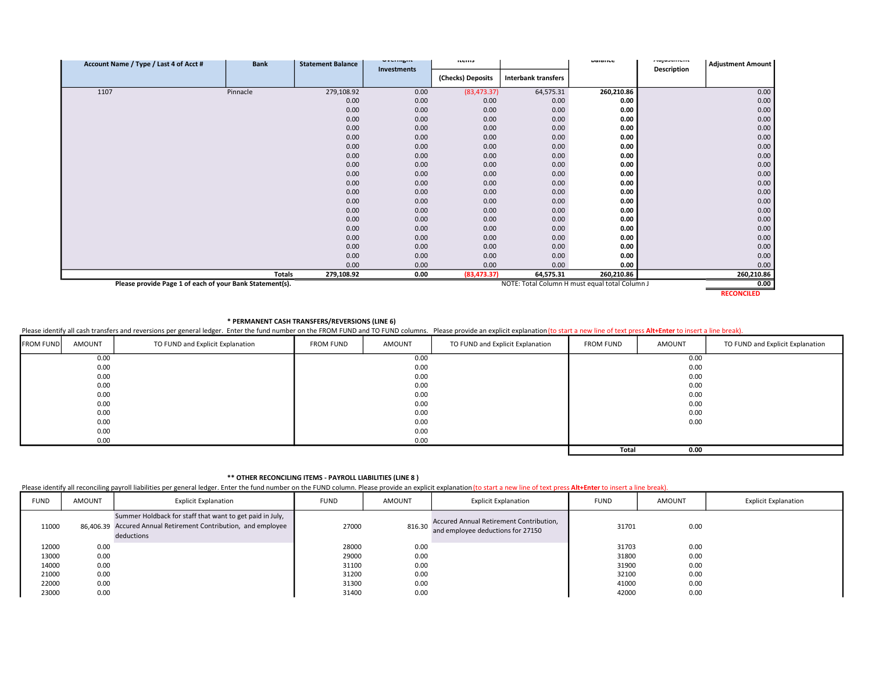| Account Name / Type / Last 4 of Acct #                   | <b>Bank</b> | <b>Statement Balance</b> | UVCHIISIN          | <b>ILCIII</b> S   |                            | Dalalluc                                       | mujuotinent | <b>Adjustment Amount</b> |
|----------------------------------------------------------|-------------|--------------------------|--------------------|-------------------|----------------------------|------------------------------------------------|-------------|--------------------------|
|                                                          |             |                          | <b>Investments</b> | (Checks) Deposits | <b>Interbank transfers</b> |                                                | Description |                          |
| 1107                                                     | Pinnacle    | 279,108.92               | 0.00               | (83, 473.37)      | 64,575.31                  | 260,210.86                                     |             | 0.00                     |
|                                                          |             | 0.00                     | 0.00               | 0.00              | 0.00                       | 0.00                                           |             | 0.00                     |
|                                                          |             | 0.00                     | 0.00               | 0.00              | 0.00                       | 0.00                                           |             | 0.00                     |
|                                                          |             | 0.00                     | 0.00               | 0.00              | 0.00                       | 0.00                                           |             | 0.00                     |
|                                                          |             | 0.00                     | 0.00               | 0.00              | 0.00                       | 0.00                                           |             | 0.00                     |
|                                                          |             | 0.00                     | 0.00               | 0.00              | 0.00                       | 0.00                                           |             | 0.00                     |
|                                                          |             | 0.00                     | 0.00               | 0.00              | 0.00                       | 0.00                                           |             | 0.00                     |
|                                                          |             | 0.00                     | 0.00               | 0.00              | 0.00                       | 0.00                                           |             | 0.00                     |
|                                                          |             | 0.00                     | 0.00               | 0.00              | 0.00                       | 0.00                                           |             | 0.00                     |
|                                                          |             | 0.00                     | 0.00               | 0.00              | 0.00                       | 0.00                                           |             | 0.00                     |
|                                                          |             | 0.00                     | 0.00               | 0.00              | 0.00                       | 0.00                                           |             | 0.00                     |
|                                                          |             | 0.00                     | 0.00               | 0.00              | 0.00                       | 0.00                                           |             | 0.00                     |
|                                                          |             | 0.00                     | 0.00               | 0.00              | 0.00                       | 0.00                                           |             | 0.00                     |
|                                                          |             | 0.00                     | 0.00               | 0.00              | 0.00                       | 0.00                                           |             | 0.00                     |
|                                                          |             | 0.00                     | 0.00               | 0.00              | 0.00                       | 0.00                                           |             | 0.00                     |
|                                                          |             | 0.00                     | 0.00               | 0.00              | 0.00                       | 0.00                                           |             | 0.00                     |
|                                                          |             | 0.00                     | 0.00               | 0.00              | 0.00                       | 0.00                                           |             | 0.00                     |
|                                                          |             | 0.00                     | 0.00               | 0.00              | 0.00                       | 0.00                                           |             | 0.00                     |
|                                                          |             | 0.00                     | 0.00               | 0.00              | 0.00                       | 0.00                                           |             | 0.00                     |
|                                                          |             | 0.00                     | 0.00               | 0.00              | 0.00                       | 0.00                                           |             | 0.00                     |
|                                                          | Totals      | 279,108.92               | 0.00               | (83, 473.37)      | 64,575.31                  | 260,210.86                                     |             | 260,210.86               |
| Please provide Page 1 of each of your Bank Statement(s). |             |                          |                    |                   |                            | NOTE: Total Column H must equal total Column J |             | 0.00                     |
|                                                          |             |                          |                    |                   |                            |                                                |             | <b>RECONCILED</b>        |

\* PERMANENT CASH TRANSFERS/REVERSIONS (LINE 6)

Please identify all cash transfers and reversions per general ledger. Enter the fund number on the FROM FUND and TO FUND columns. Please provide an explicit explanation (to start a new line of text press Alt+Enter to inser

| <b>FROM FUND</b> | AMOUNT | TO FUND and Explicit Explanation | <b>FROM FUND</b> | AMOUNT | TO FUND and Explicit Explanation | <b>FROM FUND</b> | AMOUNT | TO FUND and Explicit Explanation |
|------------------|--------|----------------------------------|------------------|--------|----------------------------------|------------------|--------|----------------------------------|
|                  | 0.00   |                                  |                  | 0.00   |                                  |                  | 0.00   |                                  |
|                  | 0.00   |                                  |                  | 0.00   |                                  |                  | 0.00   |                                  |
|                  | 0.00   |                                  |                  | 0.00   |                                  |                  | 0.00   |                                  |
|                  | 0.00   |                                  |                  | 0.00   |                                  |                  | 0.00   |                                  |
|                  | 0.00   |                                  |                  | 0.00   |                                  |                  | 0.00   |                                  |
|                  | 0.00   |                                  |                  | 0.00   |                                  |                  | 0.00   |                                  |
|                  | 0.00   |                                  |                  | 0.00   |                                  |                  | 0.00   |                                  |
|                  | 0.00   |                                  |                  | 0.00   |                                  |                  | 0.00   |                                  |
|                  | 0.00   |                                  |                  | 0.00   |                                  |                  |        |                                  |
|                  | 0.00   |                                  |                  | 0.00   |                                  |                  |        |                                  |
|                  |        |                                  |                  |        |                                  | <b>Total</b>     | 0.00   |                                  |

## \*\* OTHER RECONCILING ITEMS - PAYROLL LIABILITIES (LINE 8 )

Please identify all reconciling payroll liabilities per general ledger. Enter the fund number on the FUND column. Please provide an explicit explanation (to start a new line of text press Alt+Enter to insert a line break).

| <b>FUND</b> | <b>AMOUNT</b> | <b>Explicit Explanation</b>                                                                                                              | <b>FUND</b> | <b>AMOUNT</b> | <b>Explicit Explanation</b>                                                  | <b>FUND</b> | <b>AMOUNT</b> | <b>Explicit Explanation</b> |
|-------------|---------------|------------------------------------------------------------------------------------------------------------------------------------------|-------------|---------------|------------------------------------------------------------------------------|-------------|---------------|-----------------------------|
| 11000       |               | Summer Holdback for staff that want to get paid in July,<br>86,406.39 Accured Annual Retirement Contribution, and employee<br>deductions | 27000       | 816.30        | Accured Annual Retirement Contribution,<br>and employee deductions for 27150 | 31701       | 0.00          |                             |
| 12000       | 0.00          |                                                                                                                                          | 28000       | 0.00          |                                                                              | 31703       | 0.00          |                             |
| 13000       | 0.00          |                                                                                                                                          | 29000       | 0.00          |                                                                              | 31800       | 0.00          |                             |
| 14000       | 0.00          |                                                                                                                                          | 31100       | 0.00          |                                                                              | 31900       | 0.00          |                             |
| 21000       | 0.00          |                                                                                                                                          | 31200       | 0.00          |                                                                              | 32100       | 0.00          |                             |
| 22000       | 0.00          |                                                                                                                                          | 31300       | 0.00          |                                                                              | 41000       | 0.00          |                             |
| 23000       | 0.00          |                                                                                                                                          | 31400       | 0.00          |                                                                              | 42000       | 0.00          |                             |